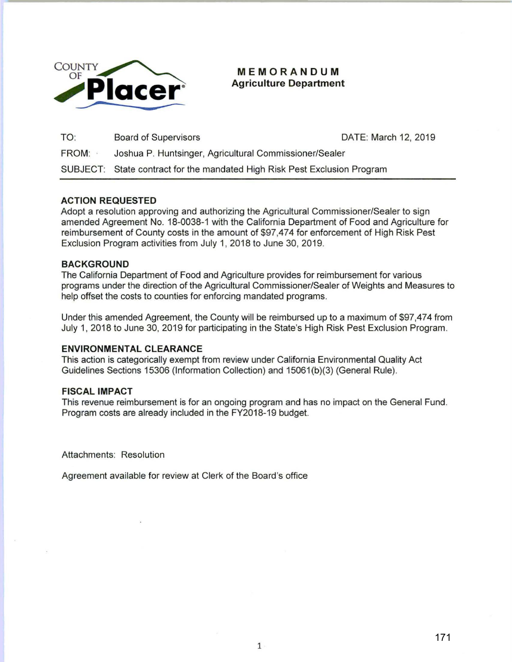

**MEMORANDUM Agriculture Department** 

| TO:          | <b>Board of Supervisors</b>                                               | DATE: March 12, 2019 |
|--------------|---------------------------------------------------------------------------|----------------------|
| <b>FROM:</b> | Joshua P. Huntsinger, Agricultural Commissioner/Sealer                    |                      |
|              | SUBJECT: State contract for the mandated High Risk Pest Exclusion Program |                      |

## **ACTION REQUESTED**

Adopt a resolution approving and authorizing the Agricultural Commissioner/Sealer to sign amended Agreement No. 18-0038-1 with the California Department of Food and Agriculture for reimbursement of County costs in the amount of \$97,474 for enforcement of High Risk Pest Exclusion Program activities from July 1, 2018 to June 30, 2019.

### **BACKGROUND**

The California Department of Food and Agriculture provides for reimbursement for various programs under the direction of the Agricultural Commissioner/Sealer of Weights and Measures to help offset the costs to counties for enforcing mandated programs.

Under this amended Agreement, the County will be reimbursed up to a maximum of \$97,474 from July 1, 2018 to June 30, 2019 for participating in the State's High Risk Pest Exclusion Program.

## **ENVIRONMENTAL CLEARANCE**

This action is categorically exempt from review under California Environmental Quality Act Guidelines Sections 15306 (Information Collection) and 15061 (b)(3) (General Rule).

### **FISCAL IMPACT**

This revenue reimbursement is for an ongoing program and has no impact on the General Fund. Program costs are already included in the FY2018-19 budget.

Attachments: Resolution

Agreement available for review at Clerk of the Board's office